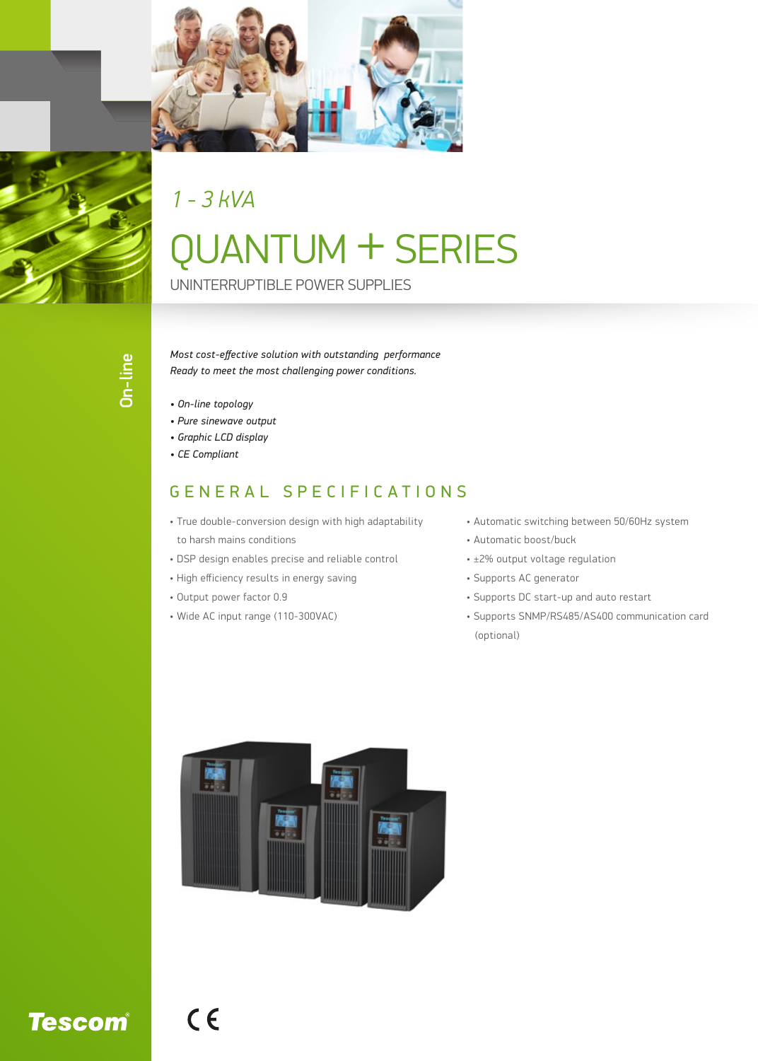

*1 - 3 kVA*

## QUANTUM + SERIES

UNINTERRUPTIBLE POWER SUPPLIES

*Most cost-effective solution with outstanding performance Ready to meet the most challenging power conditions.*

- *On-line topology*
- *Pure sinewave output*
- *Graphic LCD display*
- *CE Compliant*

## GENERAL SPECIFICATIONS

- True double-conversion design with high adaptability to harsh mains conditions
- DSP design enables precise and reliable control
- High efficiency results in energy saving
- Output power factor 0.9

 $C<sub>6</sub>$ 

• Wide AC input range (110-300VAC)

- Automatic switching between 50/60Hz system
- Automatic boost/buck
- ±2% output voltage regulation
- Supports AC generator
- Supports DC start-up and auto restart
- Supports SNMP/RS485/AS400 communication card (optional)